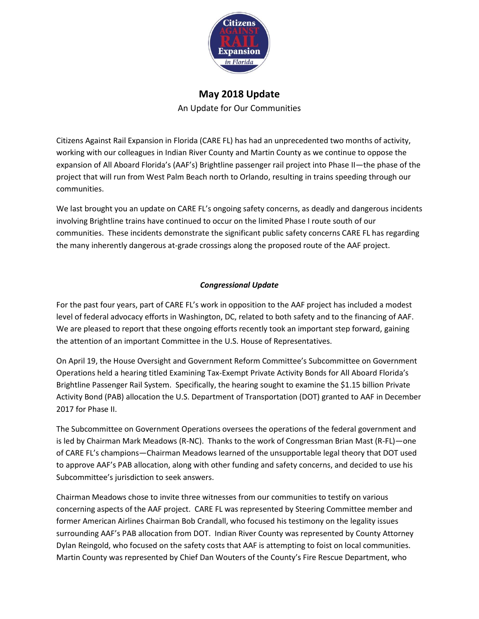

# **May 2018 Update**

An Update for Our Communities

Citizens Against Rail Expansion in Florida (CARE FL) has had an unprecedented two months of activity, working with our colleagues in Indian River County and Martin County as we continue to oppose the expansion of All Aboard Florida's (AAF's) Brightline passenger rail project into Phase II—the phase of the project that will run from West Palm Beach north to Orlando, resulting in trains speeding through our communities.

We last brought you an update on CARE FL's ongoing safety concerns, as deadly and dangerous incidents involving Brightline trains have continued to occur on the limited Phase I route south of our communities. These incidents demonstrate the significant public safety concerns CARE FL has regarding the many inherently dangerous at-grade crossings along the proposed route of the AAF project.

# *Congressional Update*

For the past four years, part of CARE FL's work in opposition to the AAF project has included a modest level of federal advocacy efforts in Washington, DC, related to both safety and to the financing of AAF. We are pleased to report that these ongoing efforts recently took an important step forward, gaining the attention of an important Committee in the U.S. House of Representatives.

On April 19, the House Oversight and Government Reform Committee's Subcommittee on Government Operations held a hearing titled Examining Tax-Exempt Private Activity Bonds for All Aboard Florida's Brightline Passenger Rail System. Specifically, the hearing sought to examine the \$1.15 billion Private Activity Bond (PAB) allocation the U.S. Department of Transportation (DOT) granted to AAF in December 2017 for Phase II.

The Subcommittee on Government Operations oversees the operations of the federal government and is led by Chairman Mark Meadows (R-NC). Thanks to the work of Congressman Brian Mast (R-FL)—one of CARE FL's champions—Chairman Meadows learned of the unsupportable legal theory that DOT used to approve AAF's PAB allocation, along with other funding and safety concerns, and decided to use his Subcommittee's jurisdiction to seek answers.

Chairman Meadows chose to invite three witnesses from our communities to testify on various concerning aspects of the AAF project. CARE FL was represented by Steering Committee member and former American Airlines Chairman Bob Crandall, who focused his testimony on the legality issues surrounding AAF's PAB allocation from DOT. Indian River County was represented by County Attorney Dylan Reingold, who focused on the safety costs that AAF is attempting to foist on local communities. Martin County was represented by Chief Dan Wouters of the County's Fire Rescue Department, who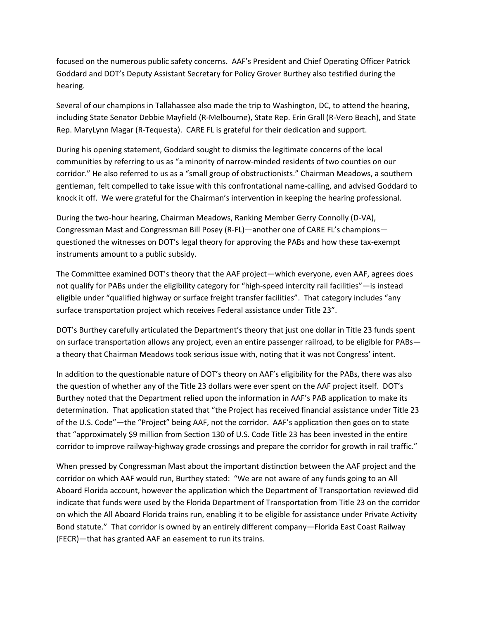focused on the numerous public safety concerns. AAF's President and Chief Operating Officer Patrick Goddard and DOT's Deputy Assistant Secretary for Policy Grover Burthey also testified during the hearing.

Several of our champions in Tallahassee also made the trip to Washington, DC, to attend the hearing, including State Senator Debbie Mayfield (R-Melbourne), State Rep. Erin Grall (R-Vero Beach), and State Rep. MaryLynn Magar (R-Tequesta). CARE FL is grateful for their dedication and support.

During his opening statement, Goddard sought to dismiss the legitimate concerns of the local communities by referring to us as "a minority of narrow-minded residents of two counties on our corridor." He also referred to us as a "small group of obstructionists." Chairman Meadows, a southern gentleman, felt compelled to take issue with this confrontational name-calling, and advised Goddard to knock it off. We were grateful for the Chairman's intervention in keeping the hearing professional.

During the two-hour hearing, Chairman Meadows, Ranking Member Gerry Connolly (D-VA), Congressman Mast and Congressman Bill Posey (R-FL)—another one of CARE FL's champions questioned the witnesses on DOT's legal theory for approving the PABs and how these tax-exempt instruments amount to a public subsidy.

The Committee examined DOT's theory that the AAF project—which everyone, even AAF, agrees does not qualify for PABs under the eligibility category for "high-speed intercity rail facilities"—is instead eligible under "qualified highway or surface freight transfer facilities". That category includes "any surface transportation project which receives Federal assistance under Title 23".

DOT's Burthey carefully articulated the Department's theory that just one dollar in Title 23 funds spent on surface transportation allows any project, even an entire passenger railroad, to be eligible for PABs a theory that Chairman Meadows took serious issue with, noting that it was not Congress' intent.

In addition to the questionable nature of DOT's theory on AAF's eligibility for the PABs, there was also the question of whether any of the Title 23 dollars were ever spent on the AAF project itself. DOT's Burthey noted that the Department relied upon the information in AAF's PAB application to make its determination. That application stated that "the Project has received financial assistance under Title 23 of the U.S. Code"—the "Project" being AAF, not the corridor. AAF's application then goes on to state that "approximately \$9 million from Section 130 of U.S. Code Title 23 has been invested in the entire corridor to improve railway-highway grade crossings and prepare the corridor for growth in rail traffic."

When pressed by Congressman Mast about the important distinction between the AAF project and the corridor on which AAF would run, Burthey stated: "We are not aware of any funds going to an All Aboard Florida account, however the application which the Department of Transportation reviewed did indicate that funds were used by the Florida Department of Transportation from Title 23 on the corridor on which the All Aboard Florida trains run, enabling it to be eligible for assistance under Private Activity Bond statute." That corridor is owned by an entirely different company—Florida East Coast Railway (FECR)—that has granted AAF an easement to run its trains.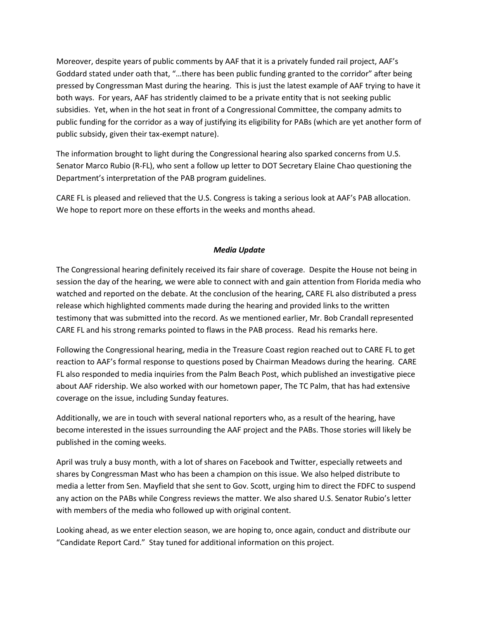Moreover, despite years of public comments by AAF that it is a privately funded rail project, AAF's Goddard stated under oath that, "…there has been public funding granted to the corridor" after being pressed by Congressman Mast during the hearing. This is just the latest example of AAF trying to have it both ways. For years, AAF has stridently claimed to be a private entity that is not seeking public subsidies. Yet, when in the hot seat in front of a Congressional Committee, the company admits to public funding for the corridor as a way of justifying its eligibility for PABs (which are yet another form of public subsidy, given their tax-exempt nature).

The information brought to light during the Congressional hearing also sparked concerns from U.S. Senator Marco Rubio (R-FL), who sent a follow up letter to DOT Secretary Elaine Chao questioning the Department's interpretation of the PAB program guidelines.

CARE FL is pleased and relieved that the U.S. Congress is taking a serious look at AAF's PAB allocation. We hope to report more on these efforts in the weeks and months ahead.

# *Media Update*

The Congressional hearing definitely received its fair share of coverage. Despite the House not being in session the day of the hearing, we were able to connect with and gain attention from Florida media who watched and reported on the debate. At the conclusion of the hearing, CARE FL also distributed a press release which highlighted comments made during the hearing and provided links to the written testimony that was submitted into the record. As we mentioned earlier, Mr. Bob Crandall represented CARE FL and his strong remarks pointed to flaws in the PAB process. Read his remarks here.

Following the Congressional hearing, media in the Treasure Coast region reached out to CARE FL to get reaction to AAF's formal response to questions posed by Chairman Meadows during the hearing. CARE FL also responded to media inquiries from the Palm Beach Post, which published an investigative piece about AAF ridership. We also worked with our hometown paper, The TC Palm, that has had extensive coverage on the issue, including Sunday features.

Additionally, we are in touch with several national reporters who, as a result of the hearing, have become interested in the issues surrounding the AAF project and the PABs. Those stories will likely be published in the coming weeks.

April was truly a busy month, with a lot of shares on Facebook and Twitter, especially retweets and shares by Congressman Mast who has been a champion on this issue. We also helped distribute to media a letter from Sen. Mayfield that she sent to Gov. Scott, urging him to direct the FDFC to suspend any action on the PABs while Congress reviews the matter. We also shared U.S. Senator Rubio's letter with members of the media who followed up with original content.

Looking ahead, as we enter election season, we are hoping to, once again, conduct and distribute our "Candidate Report Card." Stay tuned for additional information on this project.